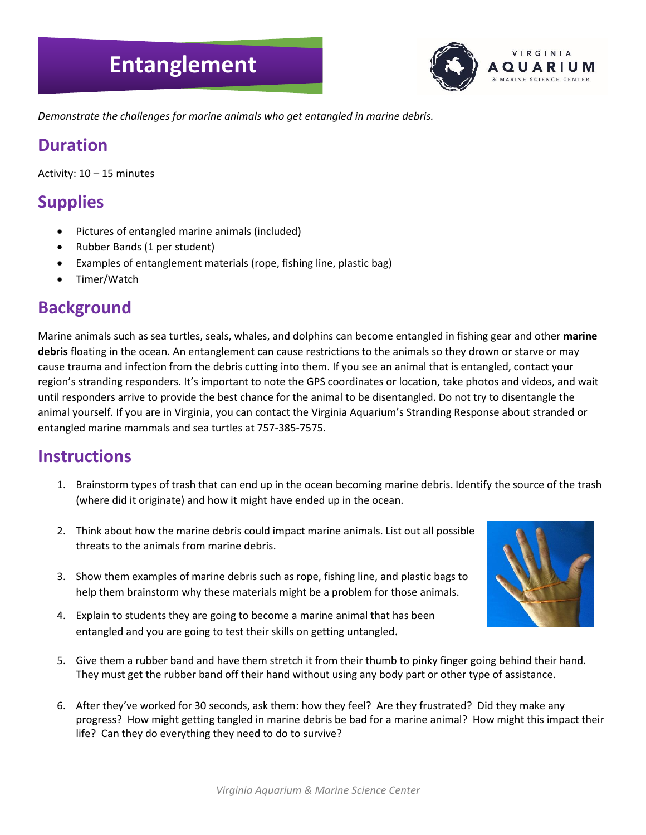# **Entanglement**



*Demonstrate the challenges for marine animals who get entangled in marine debris.* 

#### **Duration**

Activity: 10 – 15 minutes

## **Supplies**

- Pictures of entangled marine animals (included)
- Rubber Bands (1 per student)
- Examples of entanglement materials (rope, fishing line, plastic bag)
- Timer/Watch

#### **Background**

Marine animals such as sea turtles, seals, whales, and dolphins can become entangled in fishing gear and other **marine debris** floating in the ocean. An entanglement can cause restrictions to the animals so they drown or starve or may cause trauma and infection from the debris cutting into them. If you see an animal that is entangled, contact your region's stranding responders. It's important to note the GPS coordinates or location, take photos and videos, and wait until responders arrive to provide the best chance for the animal to be disentangled. Do not try to disentangle the animal yourself. If you are in Virginia, you can contact the Virginia Aquarium's Stranding Response about stranded or entangled marine mammals and sea turtles at 757-385-7575.

#### **Instructions**

- 1. Brainstorm types of trash that can end up in the ocean becoming marine debris. Identify the source of the trash (where did it originate) and how it might have ended up in the ocean.
- 2. Think about how the marine debris could impact marine animals. List out all possible threats to the animals from marine debris.
- 3. Show them examples of marine debris such as rope, fishing line, and plastic bags to help them brainstorm why these materials might be a problem for those animals.
- 4. Explain to students they are going to become a marine animal that has been entangled and you are going to test their skills on getting untangled.
- 
- 5. Give them a rubber band and have them stretch it from their thumb to pinky finger going behind their hand. They must get the rubber band off their hand without using any body part or other type of assistance.
- 6. After they've worked for 30 seconds, ask them: how they feel? Are they frustrated? Did they make any progress? How might getting tangled in marine debris be bad for a marine animal? How might this impact their life? Can they do everything they need to do to survive?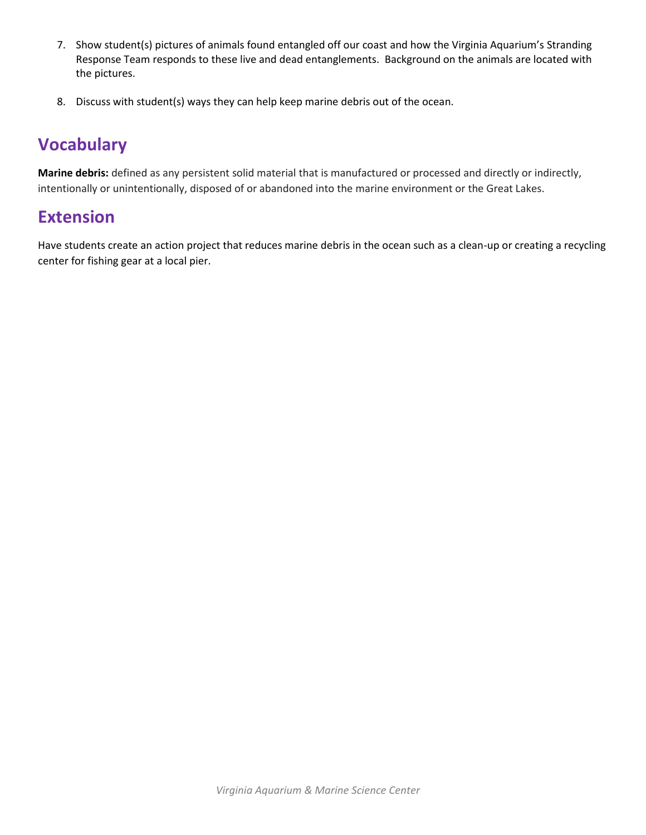- 7. Show student(s) pictures of animals found entangled off our coast and how the Virginia Aquarium's Stranding Response Team responds to these live and dead entanglements. Background on the animals are located with the pictures.
- 8. Discuss with student(s) ways they can help keep marine debris out of the ocean.

## **Vocabulary**

**Marine debris:** defined as any persistent solid material that is manufactured or processed and directly or indirectly, intentionally or unintentionally, disposed of or abandoned into the marine environment or the Great Lakes.

#### **Extension**

Have students create an action project that reduces marine debris in the ocean such as a clean-up or creating a recycling center for fishing gear at a local pier.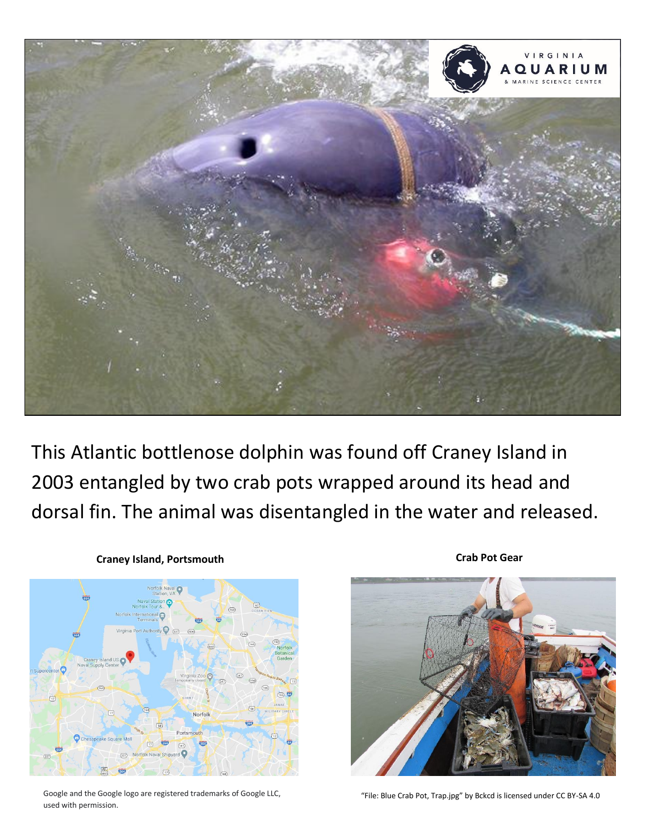

This Atlantic bottlenose dolphin was found off Craney Island in 2003 entangled by two crab pots wrapped around its head and dorsal fin. The animal was disentangled in the water and released.



#### **Craney Island, Portsmouth**

Google and the Google logo are registered trademarks of Google LLC, "File: Blue Crab Pot, Trap.jpg" by Bckcd is licensed under CC BY-SA 4.0 used with permission.

**Crab Pot Gear**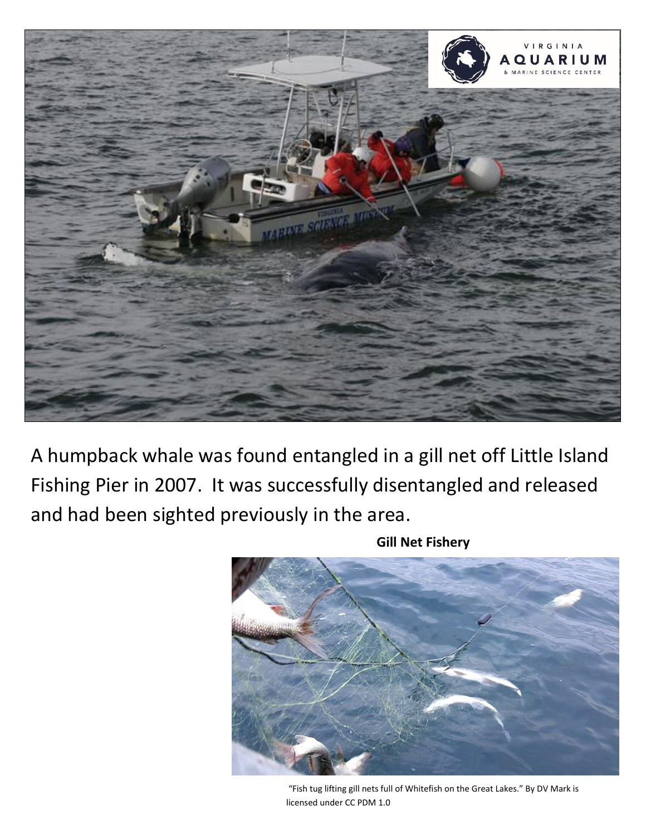

A humpback whale was found entangled in a gill net off Little Island Fishing Pier in 2007. It was successfully disentangled and released and had been sighted previously in the area.

**Gill Net Fishery**

"Fish tug lifting gill nets full of Whitefish on the Great Lakes." By DV Mark is licensed under CC PDM 1.0